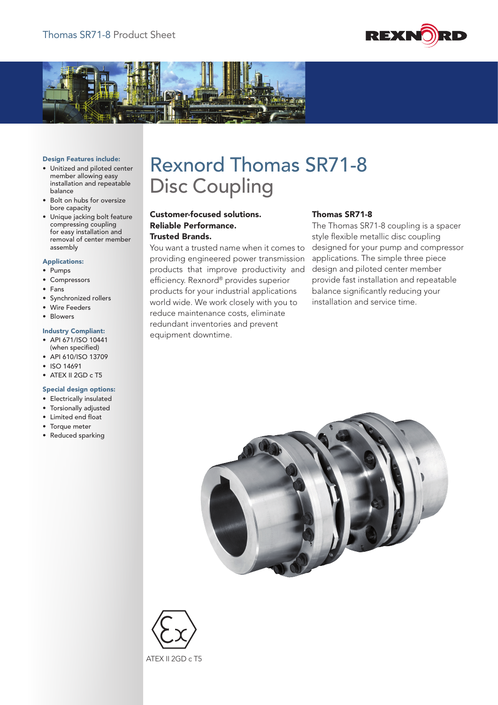



#### Design Features include:

- Unitized and piloted center member allowing easy installation and repeatable balance
- Bolt on hubs for oversize bore capacity
- Unique jacking bolt feature compressing coupling for easy installation and removal of center member assembly

#### Applications:

- Pumps
- Compressors
- Fans
- Synchronized rollers
- Wire Feeders
- Blowers

### Industry Compliant:

- API 671/ISO 10441 (when specified)
- API 610/ISO 13709
- ISO 14691
- ATEX II 2GD c T5

#### Special design options:

- Electrically insulated
- Torsionally adjusted
- Limited end float
- Torque meter
- Reduced sparking

# Rexnord Thomas SR71-8 Disc Coupling

## Customer-focused solutions. Reliable Performance. Trusted Brands.

You want a trusted name when it comes to providing engineered power transmission products that improve productivity and efficiency. Rexnord® provides superior products for your industrial applications world wide. We work closely with you to reduce maintenance costs, eliminate redundant inventories and prevent equipment downtime.

## Thomas SR71-8

The Thomas SR71-8 coupling is a spacer style flexible metallic disc coupling designed for your pump and compressor applications. The simple three piece design and piloted center member provide fast installation and repeatable balance significantly reducing your installation and service time.